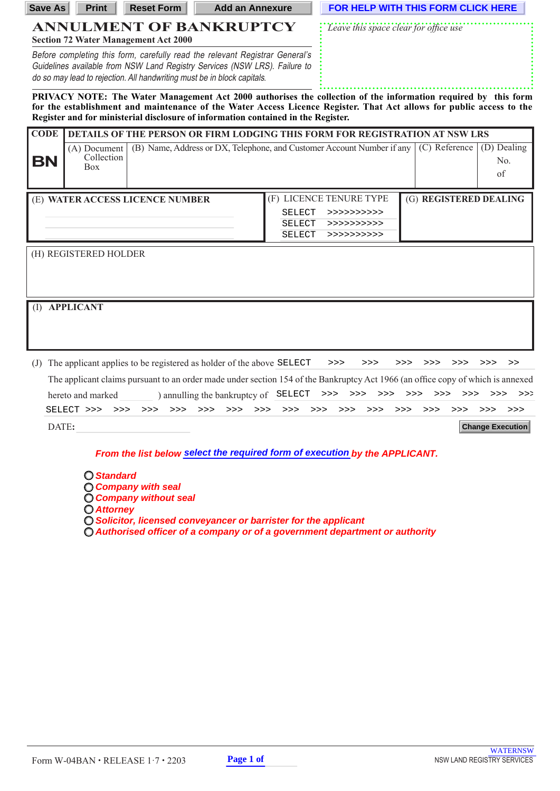| Save As                                                                                                                                                                                                                                                                                                                     | <b>Print</b>                                                                | <b>Reset Form</b>                                                                                                                                                                                                                     | <b>Add an Annexure</b> |                                |                                                                        | FOR HELP WITH THIS FORM CLICK HERE |                                     |  |
|-----------------------------------------------------------------------------------------------------------------------------------------------------------------------------------------------------------------------------------------------------------------------------------------------------------------------------|-----------------------------------------------------------------------------|---------------------------------------------------------------------------------------------------------------------------------------------------------------------------------------------------------------------------------------|------------------------|--------------------------------|------------------------------------------------------------------------|------------------------------------|-------------------------------------|--|
| <b>ANNULMENT OF BANKRUPTCY</b><br><b>Section 72 Water Management Act 2000</b>                                                                                                                                                                                                                                               |                                                                             |                                                                                                                                                                                                                                       |                        |                                | Leave this space clear for office use                                  |                                    |                                     |  |
|                                                                                                                                                                                                                                                                                                                             |                                                                             | Before completing this form, carefully read the relevant Registrar General's<br>Guidelines available from NSW Land Registry Services (NSW LRS). Failure to<br>do so may lead to rejection. All handwriting must be in block capitals. |                        |                                |                                                                        |                                    |                                     |  |
| PRIVACY NOTE: The Water Management Act 2000 authorises the collection of the information required by this form<br>for the establishment and maintenance of the Water Access Licence Register. That Act allows for public access to the<br>Register and for ministerial disclosure of information contained in the Register. |                                                                             |                                                                                                                                                                                                                                       |                        |                                |                                                                        |                                    |                                     |  |
| <b>CODE</b>                                                                                                                                                                                                                                                                                                                 | DETAILS OF THE PERSON OR FIRM LODGING THIS FORM FOR REGISTRATION AT NSW LRS |                                                                                                                                                                                                                                       |                        |                                |                                                                        |                                    |                                     |  |
| BN                                                                                                                                                                                                                                                                                                                          | (A) Document<br>Collection<br><b>Box</b>                                    |                                                                                                                                                                                                                                       |                        |                                | (B) Name, Address or DX, Telephone, and Customer Account Number if any | (C) Reference                      | (D) Dealing<br>N <sub>0</sub><br>of |  |
|                                                                                                                                                                                                                                                                                                                             |                                                                             | (E) WATER ACCESS LICENCE NUMBER                                                                                                                                                                                                       |                        | <b>SELECT</b><br><b>SELECT</b> | (F) LICENCE TENURE TYPE<br>>>>>>>>>>>><br>>>>>>>>>>>>                  | (G) REGISTERED DEALING             |                                     |  |
| <b>SELECT</b><br>> >> >> >> >> > ><br>(H) REGISTERED HOLDER                                                                                                                                                                                                                                                                 |                                                                             |                                                                                                                                                                                                                                       |                        |                                |                                                                        |                                    |                                     |  |
|                                                                                                                                                                                                                                                                                                                             |                                                                             |                                                                                                                                                                                                                                       |                        |                                |                                                                        |                                    |                                     |  |
| (I)                                                                                                                                                                                                                                                                                                                         | <b>APPLICANT</b>                                                            |                                                                                                                                                                                                                                       |                        |                                |                                                                        |                                    |                                     |  |

(J) The applicant applies to be registered as holder of the above SELECT >>> >>> >>> >>> >>> >>> >> >> >> The applicant claims pursuant to an order made under section 154 of the Bankruptcy Act 1966 (an office copy of which is annexed hereto and marked ) annulling the bankruptcy of SELECT DATE**:** SELECT >>> >>> >>> >>> >>> >>> >>> >>> SELECT >>> >>> >>> >>> >>> >>> >>> >>> >>> >>> >>> >>> >>> >>> >>> >>> **Change Execution**

**From the list below select the required form of execution by the APPLICANT.** 

- **Standard Company with seal**
- **Company without seal**
- **Attorney**
- **Solicitor, licensed conveyancer or barrister for the applicant**
- $O$  Authorised officer of a company or of a government department or authority